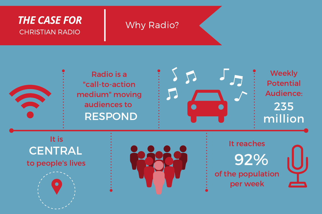## CHRISTIAN RADIO *THE CASE FOR*

# Why Radio?





**Weekly** Potential Audience: 235 million

to people's lives **CENTRAL** It is





It reaches of the population per week 92%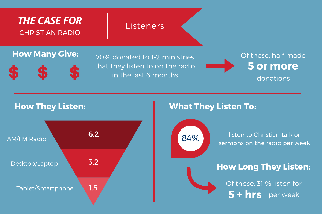## *THE CASE FOR* CHRISTIAN RADIO

#### **Listeners**

### **How Many Give:**  $70\%$  dopated to 1.2 ministries  $\frac{1}{2}$  Of those, half made



70% donated to 1-2 ministries that they listen to on the radio in the last 6 months

5 or more donations

#### How They Listen:



### What They Listen To:



listen to Christian talk or sermons on the radio per week

## How Long They Listen:

Of those, 31 % listen for 5 + hrs per week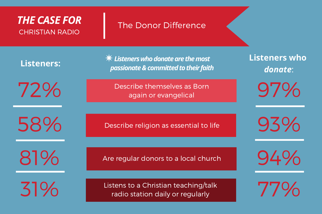## *THE CASE FOR* CHRISTIAN RADIO

#### The Donor Difference

**Listeners:**

72%

58%

81%

31%

 $*$  Listeners who donate are the most *passionate&committedtotheir faith*

Describe themselves as Born again or evangelical

Describe religion as essential to life

Are regular donors to a local church

Listens to a Christian teaching/talk radio station daily or regularly

**Listeners who** *donate*:

97%

93%

94%

77%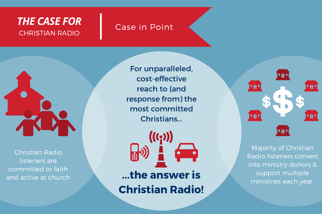## *THE CASE FOR* CHRISTIAN RADIO

## Case in Point



Christian Radio listeners are committed to faith and active at church

For unparalleled, cost-effective reach to (and response from) the most committed Christians...



...the answer is Christian Radio!



Majority of Christian Radio listeners convert into ministry donors & support multiple ministries each year